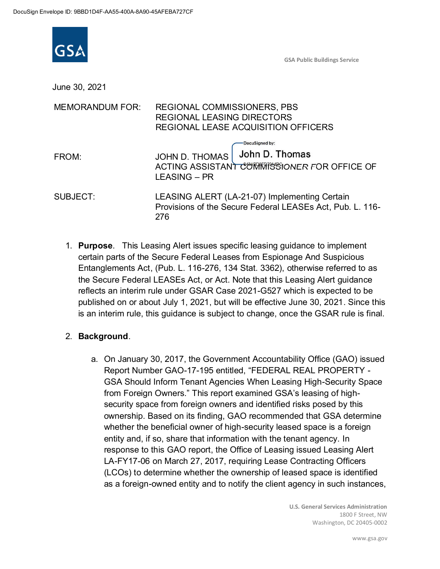

GSA Public Buildings Service

June 30, 2021

| <b>MEMORANDUM FOR:</b> | <b>REGIONAL COMMISSIONERS, PBS</b><br><b>REGIONAL LEASING DIRECTORS</b><br>REGIONAL LEASE ACQUISITION OFFICERS           |  |
|------------------------|--------------------------------------------------------------------------------------------------------------------------|--|
| FROM:                  | DocuSigned by:<br>John D. Thomas<br>JOHN D. THOMAS<br>ACTING ASSISTANT COMMISSIONER FOR OFFICE OF<br><b>LEASING - PR</b> |  |
| SUBJECT:               | LEASING ALERT (LA-21-07) Implementing Certain<br>Provisions of the Secure Federal LEASEs Act, Pub. L. 116-<br>276        |  |

1. **Purpose**. This Leasing Alert issues specific leasing guidance to implement certain parts of the Secure Federal Leases from Espionage And Suspicious Entanglements Act, (Pub. L. 116-276, 134 Stat. 3362), otherwise referred to as the Secure Federal LEASEs Act, or Act. Note that this Leasing Alert guidance reflects an interim rule under GSAR Case 2021-G527 which is expected to be published on or about July 1, 2021, but will be effective June 30, 2021. Since this is an interim rule, this guidance is subject to change, once the GSAR rule is final.

### 2. **Background**.

a. On January 30, 2017, the Government Accountability Office (GAO) issued Report Number GAO-17-195 entitled, "FEDERAL REAL PROPERTY - GSA Should Inform Tenant Agencies When Leasing High-Security Space from Foreign Owners." This report examined GSA's leasing of highsecurity space from foreign owners and identified risks posed by this ownership. Based on its finding, GAO recommended that GSA determine whether the beneficial owner of high-security leased space is a foreign entity and, if so, share that information with the tenant agency. In response to this GAO report, the Office of Leasing issued Leasing Alert LA-FY17-06 on March 27, 2017, requiring Lease Contracting Officers (LCOs) to determine whether the ownership of leased space is identified as a foreign-owned entity and to notify the client agency in such instances,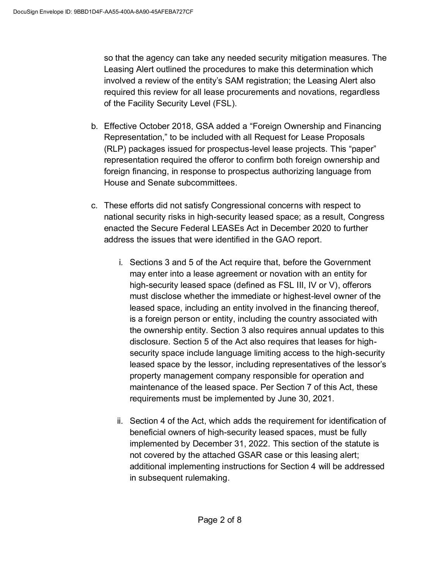so that the agency can take any needed security mitigation measures. The Leasing Alert outlined the procedures to make this determination which involved a review of the entity's SAM registration; the Leasing Alert also required this review for all lease procurements and novations, regardless of the Facility Security Level (FSL).

- b. Effective October 2018, GSA added a "Foreign Ownership and Financing Representation," to be included with all Request for Lease Proposals (RLP) packages issued for prospectus-level lease projects. This "paper" representation required the offeror to confirm both foreign ownership and foreign financing, in response to prospectus authorizing language from House and Senate subcommittees.
- c. These efforts did not satisfy Congressional concerns with respect to national security risks in high-security leased space; as a result, Congress enacted the Secure Federal LEASEs Act in December 2020 to further address the issues that were identified in the GAO report.
	- i. Sections 3 and 5 of the Act require that, before the Government may enter into a lease agreement or novation with an entity for high-security leased space (defined as FSL III, IV or V), offerors must disclose whether the immediate or highest-level owner of the leased space, including an entity involved in the financing thereof, is a foreign person or entity, including the country associated with the ownership entity. Section 3 also requires annual updates to this disclosure. Section 5 of the Act also requires that leases for highsecurity space include language limiting access to the high-security leased space by the lessor, including representatives of the lessor's property management company responsible for operation and maintenance of the leased space. Per Section 7 of this Act, these requirements must be implemented by June 30, 2021.
	- ii. Section 4 of the Act, which adds the requirement for identification of beneficial owners of high-security leased spaces, must be fully implemented by December 31, 2022. This section of the statute is not covered by the attached GSAR case or this leasing alert; additional implementing instructions for Section 4 will be addressed in subsequent rulemaking.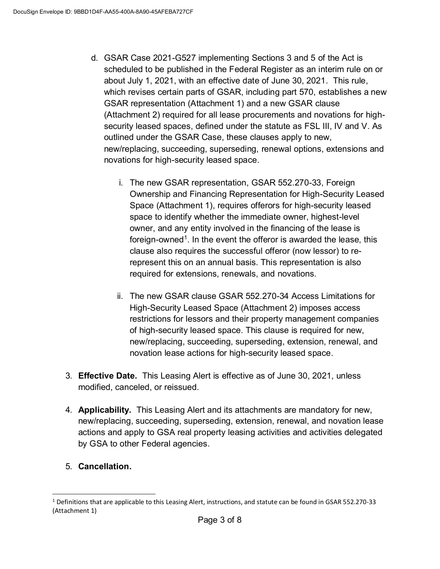- d. GSAR Case 2021-G527 implementing Sections 3 and 5 of the Act is scheduled to be published in the Federal Register as an interim rule on or about July 1, 2021, with an effective date of June 30, 2021. This rule, which revises certain parts of GSAR, including part 570, establishes a new GSAR representation (Attachment 1) and a new GSAR clause (Attachment 2) required for all lease procurements and novations for highsecurity leased spaces, defined under the statute as FSL III, IV and V. As outlined under the GSAR Case, these clauses apply to new, new/replacing, succeeding, superseding, renewal options, extensions and novations for high-security leased space.
	- i. The new GSAR representation, GSAR 552.270-33, Foreign Ownership and Financing Representation for High-Security Leased Space (Attachment 1), requires offerors for high-security leased space to identify whether the immediate owner, highest-level owner, and any entity involved in the financing of the lease is foreign-owned<sup>1</sup>. In the event the offeror is awarded the lease, this clause also requires the successful offeror (now lessor) to rerepresent this on an annual basis. This representation is also required for extensions, renewals, and novations.
	- ii. The new GSAR clause GSAR 552.270-34 Access Limitations for High-Security Leased Space (Attachment 2) imposes access restrictions for lessors and their property management companies of high-security leased space. This clause is required for new, new/replacing, succeeding, superseding, extension, renewal, and novation lease actions for high-security leased space.
- 3. **Effective Date.** This Leasing Alert is effective as of June 30, 2021, unless modified, canceled, or reissued.
- 4. **Applicability.** This Leasing Alert and its attachments are mandatory for new, new/replacing, succeeding, superseding, extension, renewal, and novation lease actions and apply to GSA real property leasing activities and activities delegated by GSA to other Federal agencies.
- 5. **Cancellation.**

 $1$  Definitions that are applicable to this Leasing Alert, instructions, and statute can be found in GSAR 552.270-33 (Attachment 1)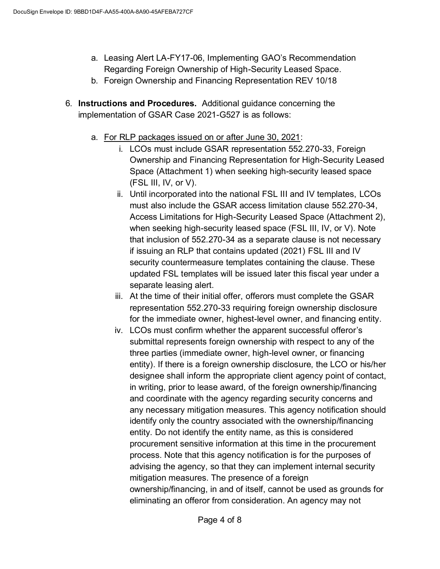- a. Leasing Alert LA-FY17-06, Implementing GAO's Recommendation Regarding Foreign Ownership of High-Security Leased Space.
- b. Foreign Ownership and Financing Representation REV 10/18
- 6. **Instructions and Procedures.** Additional guidance concerning the implementation of GSAR Case 2021-G527 is as follows:
	- a. For RLP packages issued on or after June 30, 2021:
		- i. LCOs must include GSAR representation 552.270-33, Foreign Ownership and Financing Representation for High-Security Leased Space (Attachment 1) when seeking high-security leased space  $(FSL III, IV, or V).$
		- ii. Until incorporated into the national FSL III and IV templates, LCOs must also include the GSAR access limitation clause 552.270-34, Access Limitations for High-Security Leased Space (Attachment 2), when seeking high-security leased space (FSL III, IV, or V). Note that inclusion of 552.270-34 as a separate clause is not necessary if issuing an RLP that contains updated (2021) FSL III and IV security countermeasure templates containing the clause. These updated FSL templates will be issued later this fiscal year under a separate leasing alert.
		- iii. At the time of their initial offer, offerors must complete the GSAR representation 552.270-33 requiring foreign ownership disclosure for the immediate owner, highest-level owner, and financing entity.
		- iv. LCOs must confirm whether the apparent successful offeror's submittal represents foreign ownership with respect to any of the three parties (immediate owner, high-level owner, or financing entity). If there is a foreign ownership disclosure, the LCO or his/her designee shall inform the appropriate client agency point of contact, in writing, prior to lease award, of the foreign ownership/financing and coordinate with the agency regarding security concerns and any necessary mitigation measures. This agency notification should identify only the country associated with the ownership/financing entity. Do not identify the entity name, as this is considered procurement sensitive information at this time in the procurement process. Note that this agency notification is for the purposes of advising the agency, so that they can implement internal security mitigation measures. The presence of a foreign ownership/financing, in and of itself, cannot be used as grounds for eliminating an offeror from consideration. An agency may not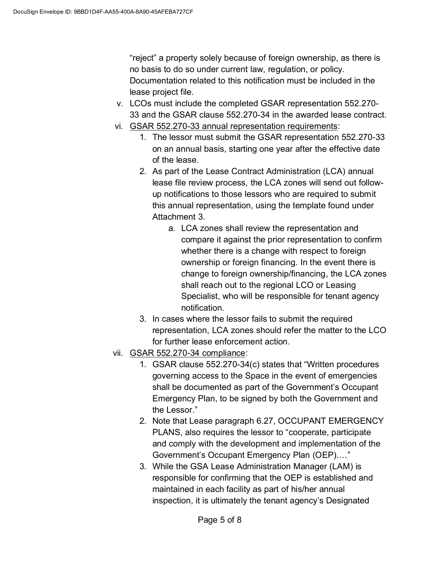"reject" a property solely because of foreign ownership, as there is no basis to do so under current law, regulation, or policy. Documentation related to this notification must be included in the lease project file.

- v. LCOs must include the completed GSAR representation 552.270- 33 and the GSAR clause 552.270-34 in the awarded lease contract.
- vi. GSAR 552.270-33 annual representation requirements:
	- 1. The lessor must submit the GSAR representation 552.270-33 on an annual basis, starting one year after the effective date of the lease.
	- 2. As part of the Lease Contract Administration (LCA) annual lease file review process, the LCA zones will send out followup notifications to those lessors who are required to submit this annual representation, using the template found under Attachment 3.
		- a. LCA zones shall review the representation and compare it against the prior representation to confirm whether there is a change with respect to foreign ownership or foreign financing. In the event there is change to foreign ownership/financing, the LCA zones shall reach out to the regional LCO or Leasing Specialist, who will be responsible for tenant agency notification.
	- 3. In cases where the lessor fails to submit the required representation, LCA zones should refer the matter to the LCO for further lease enforcement action.
- vii. GSAR 552.270-34 compliance:
	- 1. GSAR clause 552.270-34(c) states that "Written procedures governing access to the Space in the event of emergencies shall be documented as part of the Government's Occupant Emergency Plan, to be signed by both the Government and the Lessor."
	- 2. Note that Lease paragraph 6.27, OCCUPANT EMERGENCY PLANS, also requires the lessor to "cooperate, participate and comply with the development and implementation of the Government's Occupant Emergency Plan (OEP).…"
	- 3. While the GSA Lease Administration Manager (LAM) is responsible for confirming that the OEP is established and maintained in each facility as part of his/her annual inspection, it is ultimately the tenant agency's Designated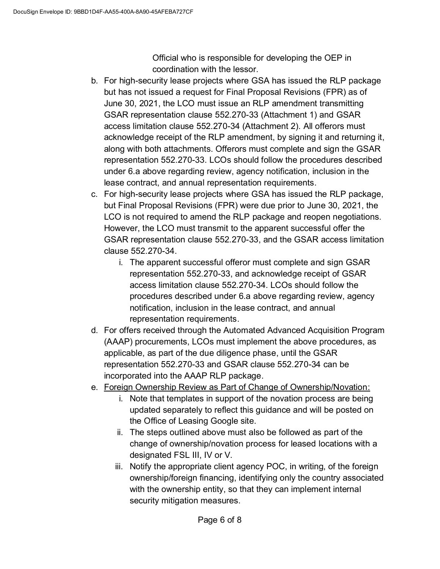Official who is responsible for developing the OEP in coordination with the lessor.

- b. For high-security lease projects where GSA has issued the RLP package but has not issued a request for Final Proposal Revisions (FPR) as of June 30, 2021, the LCO must issue an RLP amendment transmitting GSAR representation clause 552.270-33 (Attachment 1) and GSAR access limitation clause 552.270-34 (Attachment 2). All offerors must acknowledge receipt of the RLP amendment, by signing it and returning it, along with both attachments. Offerors must complete and sign the GSAR representation 552.270-33. LCOs should follow the procedures described under 6.a above regarding review, agency notification, inclusion in the lease contract, and annual representation requirements.
- c. For high-security lease projects where GSA has issued the RLP package, but Final Proposal Revisions (FPR) were due prior to June 30, 2021, the LCO is not required to amend the RLP package and reopen negotiations. However, the LCO must transmit to the apparent successful offer the GSAR representation clause 552.270-33, and the GSAR access limitation clause 552.270-34.
	- i. The apparent successful offeror must complete and sign GSAR representation 552.270-33, and acknowledge receipt of GSAR access limitation clause 552.270-34. LCOs should follow the procedures described under 6.a above regarding review, agency notification, inclusion in the lease contract, and annual representation requirements.
- d. For offers received through the Automated Advanced Acquisition Program (AAAP) procurements, LCOs must implement the above procedures, as applicable, as part of the due diligence phase, until the GSAR representation 552.270-33 and GSAR clause 552.270-34 can be incorporated into the AAAP RLP package.
- e. Foreign Ownership Review as Part of Change of Ownership/Novation:
	- i. Note that templates in support of the novation process are being updated separately to reflect this guidance and will be posted on the Office of Leasing Google site.
	- ii. The steps outlined above must also be followed as part of the change of ownership/novation process for leased locations with a designated FSL III, IV or V.
	- iii. Notify the appropriate client agency POC, in writing, of the foreign ownership/foreign financing, identifying only the country associated with the ownership entity, so that they can implement internal security mitigation measures.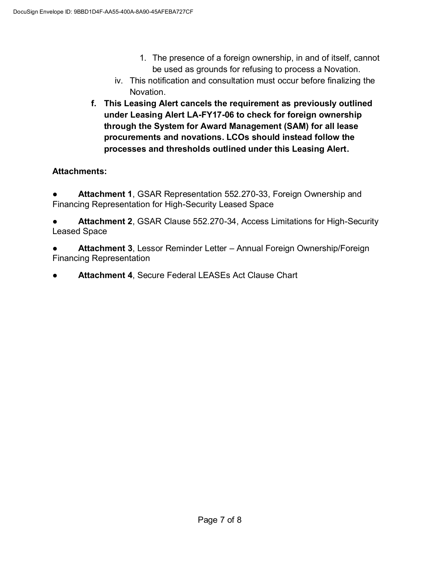- 1. The presence of a foreign ownership, in and of itself, cannot be used as grounds for refusing to process a Novation.
- iv. This notification and consultation must occur before finalizing the Novation.
- **f. This Leasing Alert cancels the requirement as previously outlined under Leasing Alert LA-FY17-06 to check for foreign ownership through the System for Award Management (SAM) for all lease procurements and novations. LCOs should instead follow the processes and thresholds outlined under this Leasing Alert.**

## **Attachments:**

● **Attachment 1**, GSAR Representation 552.270-33, Foreign Ownership and Financing Representation for High-Security Leased Space

● **Attachment 2**, GSAR Clause 552.270-34, Access Limitations for High-Security Leased Space

**Attachment 3, Lessor Reminder Letter – Annual Foreign Ownership/Foreign** Financing Representation

**Attachment 4, Secure Federal LEASEs Act Clause Chart**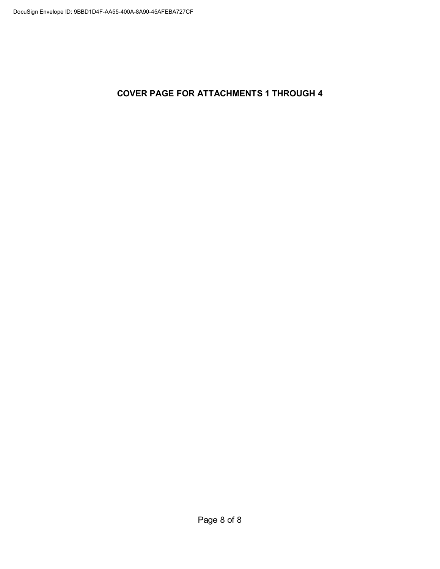**COVER PAGE FOR ATTACHMENTS 1 THROUGH 4**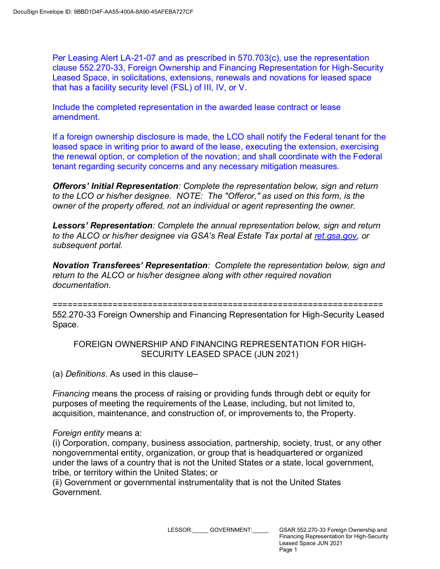Per Leasing Alert LA-21-07 and as prescribed in 570.703(c), use the representation clause 552.270-33, Foreign Ownership and Financing Representation for High-Security Leased Space, in solicitations, extensions, renewals and novations for leased space that has a facility security level (FSL) of III, IV, or V.

Include the completed representation in the awarded lease contract or lease amendment.

If a foreign ownership disclosure is made, the LCO shall notify the Federal tenant for the leased space in writing prior to award of the lease, executing the extension, exercising the renewal option, or completion of the novation; and shall coordinate with the Federal tenant regarding security concerns and any necessary mitigation measures.

*Offerors*' *Initial Representation: Complete the representation below, sign and return to the LCO or his/her designee. NOTE: The "Offeror," as used on this form, is the owner of the property offered, not an individual or agent representing the owner.*

*Lessors*' *Representation: Complete the annual representation below, sign and return to the ALCO or his/her designee* via GSA's Real Estate Tax portal *at ret.gsa.gov, or subsequent portal.*

*Novation Trans*ferees' Representation*: Complete the representation below, sign and return to the ALCO or his/her designee along with other required novation documentation.*

==================================================================

552.270-33 Foreign Ownership and Financing Representation for High-Security Leased Space.

FOREIGN OWNERSHIP AND FINANCING REPRESENTATION FOR HIGH-SECURITY LEASED SPACE (JUN 2021)

(a) *Definitions*. As used in this clause–

*Financing* means the process of raising or providing funds through debt or equity for purposes of meeting the requirements of the Lease, including, but not limited to, acquisition, maintenance, and construction of, or improvements to, the Property.

### *Foreign entity* means a:

(i) Corporation, company, business association, partnership, society, trust, or any other nongovernmental entity, organization, or group that is headquartered or organized under the laws of a country that is not the United States or a state, local government, tribe, or territory within the United States; or

(ii) Government or governmental instrumentality that is not the United States Government.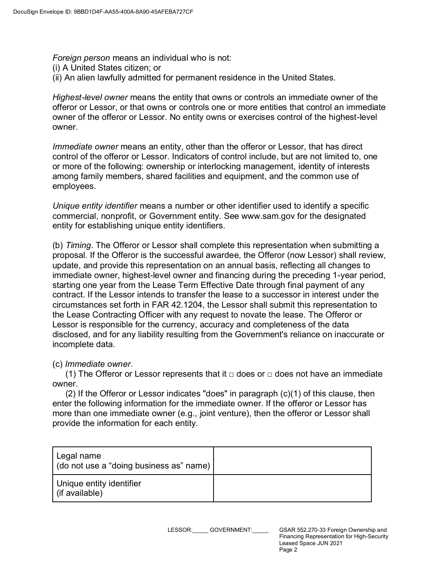*Foreign person* means an individual who is not:

- (i) A United States citizen; or
- (ii) An alien lawfully admitted for permanent residence in the United States.

*Highest-level owner* means the entity that owns or controls an immediate owner of the offeror or Lessor, or that owns or controls one or more entities that control an immediate owner of the offeror or Lessor. No entity owns or exercises control of the highest-level owner.

*Immediate owner* means an entity, other than the offeror or Lessor, that has direct control of the offeror or Lessor. Indicators of control include, but are not limited to, one or more of the following: ownership or interlocking management, identity of interests among family members, shared facilities and equipment, and the common use of employees.

*Unique entity identifier* means a number or other identifier used to identify a specific commercial, nonprofit, or Government entity. See www.sam.gov for the designated entity for establishing unique entity identifiers.

(b) *Timing*. The Offeror or Lessor shall complete this representation when submitting a proposal. If the Offeror is the successful awardee, the Offeror (now Lessor) shall review, update, and provide this representation on an annual basis, reflecting all changes to immediate owner, highest-level owner and financing during the preceding 1-year period, starting one year from the Lease Term Effective Date through final payment of any contract. If the Lessor intends to transfer the lease to a successor in interest under the circumstances set forth in FAR 42.1204, the Lessor shall submit this representation to the Lease Contracting Officer with any request to novate the lease. The Offeror or Lessor is responsible for the currency, accuracy and completeness of the data disclosed, and for any liability resulting from the Government's reliance on inaccurate or incomplete data.

#### (c) *Immediate owner*.

(1) The Offeror or Lessor represents that it  $\Box$  does or  $\Box$  does not have an immediate owner.

(2) If the Offeror or Lessor indicates "does" in paragraph (c)(1) of this clause, then enter the following information for the immediate owner. If the offeror or Lessor has more than one immediate owner (e.g., joint venture), then the offeror or Lessor shall provide the information for each entity.

| Legal name<br>(do not use a "doing business as" name) |  |
|-------------------------------------------------------|--|
| Unique entity identifier<br>(if available)            |  |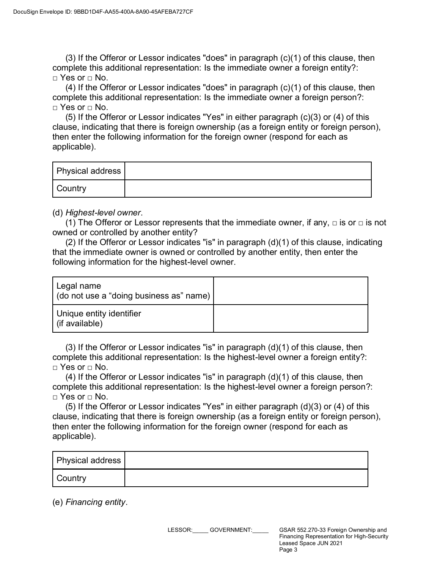(3) If the Offeror or Lessor indicates "does" in paragraph (c)(1) of this clause, then complete this additional representation: Is the immediate owner a foreign entity?:  $\Box$  Yes or  $\Box$  No.

(4) If the Offeror or Lessor indicates "does" in paragraph (c)(1) of this clause, then complete this additional representation: Is the immediate owner a foreign person?: □ Yes or □ No.

(5) If the Offeror or Lessor indicates "Yes" in either paragraph (c)(3) or (4) of this clause, indicating that there is foreign ownership (as a foreign entity or foreign person), then enter the following information for the foreign owner (respond for each as applicable).

| <b>Physical address</b> |  |
|-------------------------|--|
| Country                 |  |

(d) *Highest-level owner*.

(1) The Offeror or Lessor represents that the immediate owner, if any,  $\Box$  is or  $\Box$  is not owned or controlled by another entity?

(2) If the Offeror or Lessor indicates "is" in paragraph (d)(1) of this clause, indicating that the immediate owner is owned or controlled by another entity, then enter the following information for the highest-level owner.

| Legal name<br>(do not use a "doing business as" name) |  |
|-------------------------------------------------------|--|
| Unique entity identifier<br>(if available)            |  |

 $(3)$  If the Offeror or Lessor indicates "is" in paragraph  $(d)(1)$  of this clause, then complete this additional representation: Is the highest-level owner a foreign entity?: □ Yes or □ No.

 $(4)$  If the Offeror or Lessor indicates "is" in paragraph  $(d)(1)$  of this clause, then complete this additional representation: Is the highest-level owner a foreign person?:  $\Box$  Yes or  $\Box$  No.

(5) If the Offeror or Lessor indicates "Yes" in either paragraph (d)(3) or (4) of this clause, indicating that there is foreign ownership (as a foreign entity or foreign person), then enter the following information for the foreign owner (respond for each as applicable).

| <b>Physical address</b> |  |
|-------------------------|--|
| Country                 |  |

(e) *Financing entity*.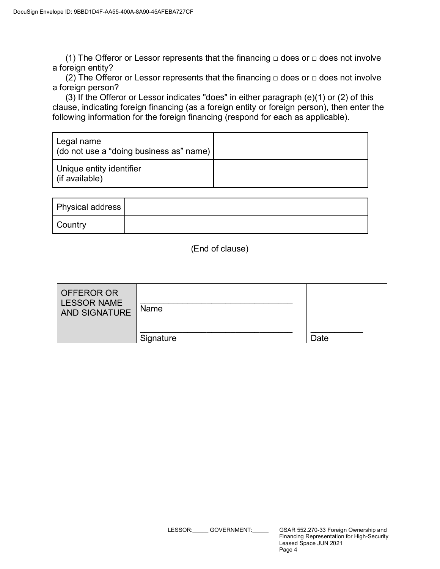(1) The Offeror or Lessor represents that the financing  $\Box$  does or  $\Box$  does not involve a foreign entity?

(2) The Offeror or Lessor represents that the financing  $\Box$  does or  $\Box$  does not involve a foreign person?

(3) If the Offeror or Lessor indicates "does" in either paragraph (e)(1) or (2) of this clause, indicating foreign financing (as a foreign entity or foreign person), then enter the following information for the foreign financing (respond for each as applicable).

| Legal name<br>(do not use a "doing business as" name) |  |
|-------------------------------------------------------|--|
| Unique entity identifier<br>(if available)            |  |

| Physical address |  |
|------------------|--|
| Country          |  |

(End of clause)

| OFFEROR OR<br><b>LESSOR NAME</b><br><b>AND SIGNATURE</b> | Name      |      |
|----------------------------------------------------------|-----------|------|
|                                                          | Signature | Date |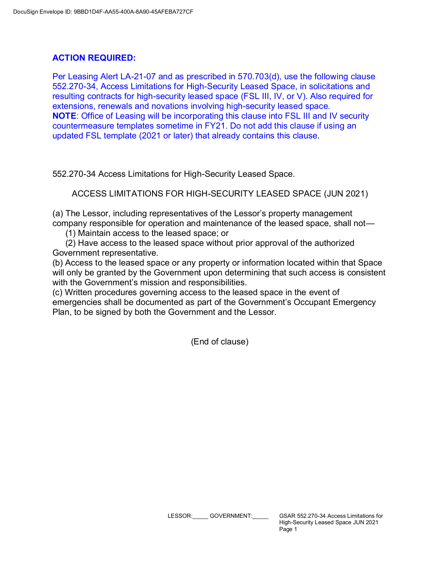## **ACTION REQUIRED:**

Per Leasing Alert LA-21-07 and as prescribed in 570.703(d), use the following clause 552.270-34, Access Limitations for High-Security Leased Space, in solicitations and resulting contracts for high-security leased space (FSL III, IV, or V). Also required for extensions, renewals and novations involving high-security leased space. **NOTE**: Office of Leasing will be incorporating this clause into FSL III and IV security countermeasure templates sometime in FY21. Do not add this clause if using an updated FSL template (2021 or later) that already contains this clause.

552.270-34 Access Limitations for High-Security Leased Space.

ACCESS LIMITATIONS FOR HIGH-SECURITY LEASED SPACE (JUN 2021)

(a) The Lessor, including representatives of the Lessor's property management company responsible for operation and maintenance of the leased space, shall not—

(1) Maintain access to the leased space; or

(2) Have access to the leased space without prior approval of the authorized Government representative.

(b) Access to the leased space or any property or information located within that Space will only be granted by the Government upon determining that such access is consistent with the Government's mission and responsibilities.

(c) Written procedures governing access to the leased space in the event of emergencies shall be documented as part of the Government's Occupant Emergency Plan, to be signed by both the Government and the Lessor.

(End of clause)

LESSOR: GOVERNMENT: GSAR 552.270-34 Access Limitations for High-Security Leased Space JUN 2021 Page 1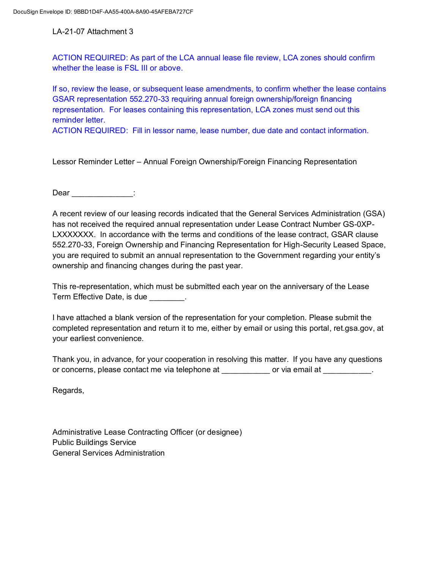LA-21-07 Attachment 3

ACTION REQUIRED: As part of the LCA annual lease file review, LCA zones should confirm whether the lease is FSL III or above.

If so, review the lease, or subsequent lease amendments, to confirm whether the lease contains GSAR representation 552.270-33 requiring annual foreign ownership/foreign financing representation. For leases containing this representation, LCA zones must send out this reminder letter.

ACTION REQUIRED: Fill in lessor name, lease number, due date and contact information.

Lessor Reminder Letter – Annual Foreign Ownership/Foreign Financing Representation

Dear :

A recent review of our leasing records indicated that the General Services Administration (GSA) has not received the required annual representation under Lease Contract Number GS-0XP-LXXXXXXX. In accordance with the terms and conditions of the lease contract, GSAR clause 552.270-33, Foreign Ownership and Financing Representation for High-Security Leased Space, you are required to submit an annual representation to the Government regarding your entity's ownership and financing changes during the past year.

This re-representation, which must be submitted each year on the anniversary of the Lease Term Effective Date, is due **Example** 2.

I have attached a blank version of the representation for your completion. Please submit the completed representation and return it to me, either by email or using this portal, ret.gsa.gov, at your earliest convenience.

Thank you, in advance, for your cooperation in resolving this matter. If you have any questions or concerns, please contact me via telephone at \_\_\_\_\_\_\_\_\_\_ or via email at \_\_\_\_\_\_\_\_\_\_.

Regards,

Administrative Lease Contracting Officer (or designee) Public Buildings Service General Services Administration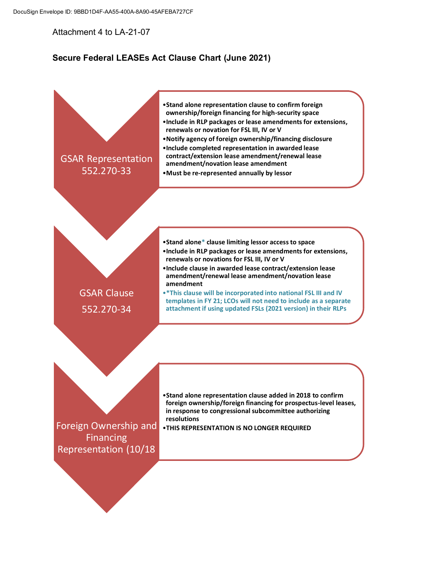Attachment 4 to LA-21-07

## **Secure Federal LEASEs Act Clause Chart (June 2021)**